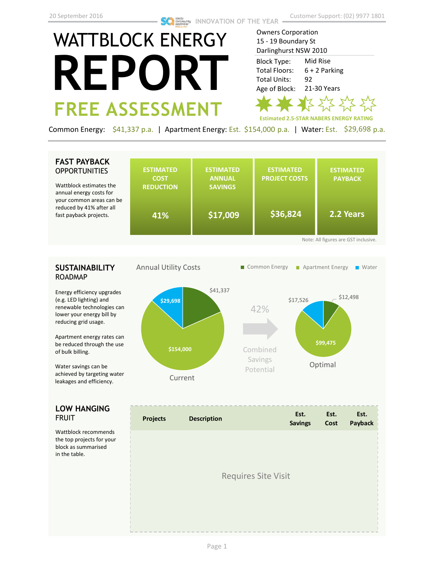# WATTBLOCK ENERGY **REPORT FREE ASSESSMENT**

Owners Corporation 15 - 19 Boundary St Darlinghurst NSW 2010 Mid Rise 6 + 2 Parking 92 21-30 Years Block Type: Total Floors: Total Units: Age of Block:

**Estimated 2.5-STAR NABERS ENERGY RATING**

Common Energy: \$41,337 p.a. | Apartment Energy: Est. \$154,000 p.a. | Water: Est. \$29,698 p.a.

## **FAST PAYBACK OPPORTUNITIES**

Wattblock estimates annual energy costs fo your common areas c reduced by 41% after fast payback projects.

| the<br>or                            | <b>ESTIMATED</b><br><b>COST</b><br><b>REDUCTION</b> | <b>ESTIMATED</b><br><b>ANNUAL</b><br><b>SAVINGS</b> | <b>ESTIMATED</b><br><b>PROJECT COSTS</b> | <b>ESTIMATED</b><br><b>PAYBACK</b> |  |  |
|--------------------------------------|-----------------------------------------------------|-----------------------------------------------------|------------------------------------------|------------------------------------|--|--|
| an be<br>all <sup>-</sup><br>$\cdot$ | 41%                                                 | \$17,009                                            | \$36,824                                 | 2.2 Years                          |  |  |
| Note: All figures are GST inclusive. |                                                     |                                                     |                                          |                                    |  |  |

## **SUSTAINABILITY** ROADMAP

Energy efficiency upgrades (e.g. LED lighting) and renewable technologies can lower your energy bill by reducing grid usage.

Apartment energy rates can be reduced through the use of bulk billing.

Water savings can be achieved by targeting water leakages and efficiency.

## **LOW HANGING**  FRUIT

Wattblock recommends the top projects for your block as summarised in the table.



| <b>Projects</b>            | <b>Description</b> | Est.<br><b>Savings</b> | Est.<br>Cost | Est.<br>Payback |  |
|----------------------------|--------------------|------------------------|--------------|-----------------|--|
|                            |                    |                        |              |                 |  |
| <b>Requires Site Visit</b> |                    |                        |              |                 |  |
|                            |                    |                        |              |                 |  |
|                            |                    |                        |              |                 |  |